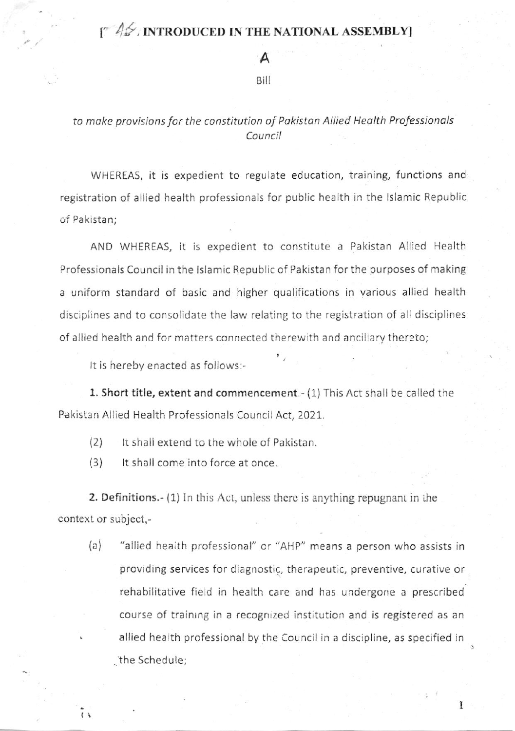## $\int_{0}^{\infty}$   $\int_{0}^{\infty}$  introduced in the national assembly]

A

## <sup>B</sup>ill

## to make provisions for the constitution of Pakistan Allied Health Professionals Council

WHEREAS, it is expedient to regulate education, training, functions and registration of allied health professionals for public health in the lslamic Republic of Pakistan;

AND WHEREAS, it is expedient to constitute a Pakistan Allied Health Professionals Council in the lslamic Republic of Pakistan for the purposes of making a uniform standard of basic and higher qualifications in various allied health discipiines and to consolidate the law relating to the registration of all disciplines of allied health and for matters connected therewith and ancillary thereto;

It is hereby enacted as follows:-

1. Short title, extent and commencement.- (1) This Act shall be called the Pakistan Allied Health Professionals Council Act, 2021.

(2) Ir shall extend to the whole of Pakistan.

(3) lt shall come into force at once.

 $\tilde{I}$ 

2. Definitions.- (1) In this Act, unless there is anything repugnant in the context or subject.-

(a) "allied heaith professional" or ''AHP" means a person who assists in providing services for diagnostic, therapeutic, preventive, curative or rehabilitative field in health care and has undergone a prescribed course of training in a recognized institution and is registered as an allied health professional by the Council in a discipline, as specified in .the Schedu Ie;

1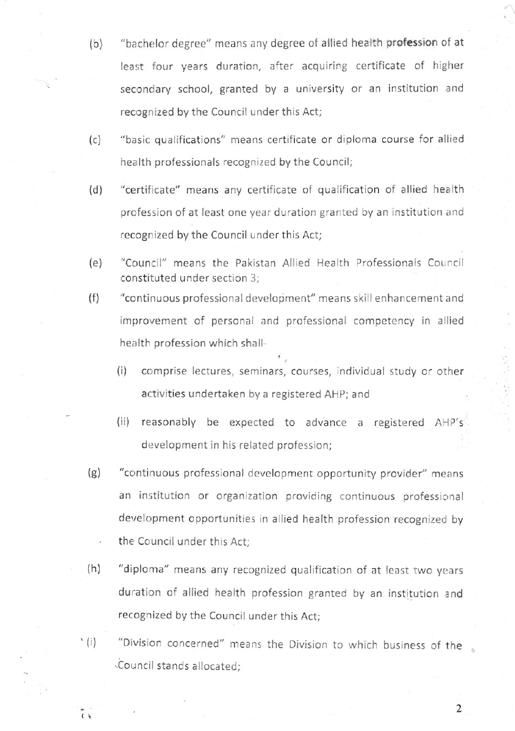- $(b)$ "bachelor degree" means any degree of allied health profession of at least four years duration, after acquiring certificate of higher secondary school, granted by a university or an institution and recognized by the Council under this Act;
- (c) "basic qualifications" means certificate or diploma course for allied health professionals recognized by the Council;
- (d) "certificate" means any certificate of qualification of allied health profession of at least one year duration granted by an institution and recognized by the Council under this Act;
- (e) "Council" means the Pakistan Allied Health Professionals Council constituted under section 3;
- (f) "continuous professional development" means skill enhancement and improvement of personal and professional competency in allied health profession which shall-
	- (i) comprise lectures, seminars, courses, individual study or other activities undertaken by a registered AHP; and
	- (ii) reasonably be expected to advance a registered AHP's development in his related profession;
- $(g)$ "continuous professional development opportunity provider" means an institution or organization providing continuous professional development opportunities in allied health profession recognized by the Council under this Act;
- (h) "diploma" means any recognized qualification of at least two years duration of allied health profession granted by an institution and recognized by the Council under this Act;
- '(i) "Division concerned" means the Division to which business of the .Council stands allocated;

 $\tilde{1}$ 

2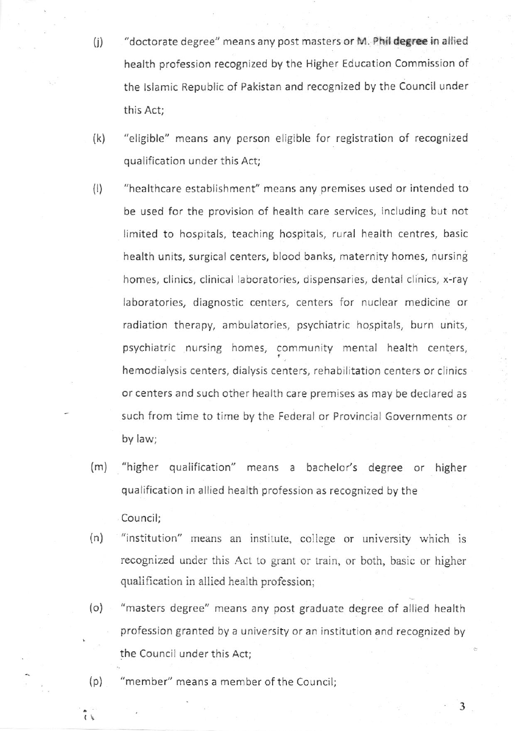- (j) "doctorate degree" means any post masters or M. Phil degree in allied health profession recognized by the Higher Education Commission of the lslamic Republic of Pakistan and recognized by the Council under this Act;
- (k) "eligible" means any person eligible for registration of recognized qualification under this Act;
- (l) "healthcare establishment" means any premises used or intended to be used for the provision of health care services, including but not limited to hospitals, teaching hospitals, rural health centres, basic health units, surgical centers, blood banks, maternity homes, nursing homes, clinics, clinical laboratories, dispensaries, dental clinics, x-ray laboratories, diagnostic centers, centers for nuclear medicine or radiation therapy, ambulatories, psychiatric hospitals, burn units, psychiatric nursing homes, community mental health centers, hemodialysis centers, dialysis centers, rehabilitation centers or clinics or centers and such other health care premises as may be declared as such from time to time by the Federal or Provincial Governments or by law;
- (m) "higher qualification" means a bachelor's degree or higher qualification in allied health profession as recognized by the
- (n) "institution" means an institute, college or university which is recognized under this Act to grant or train, or both, basic or higher qualification in allied health profession;
- {o) "masters degree" means any post graduate degree of allied health profession granted by a university or an institution and recognized by the Council under this Act;

3

(p) "member" means a member of the Council;

 $\frac{1}{2}$ 

Council;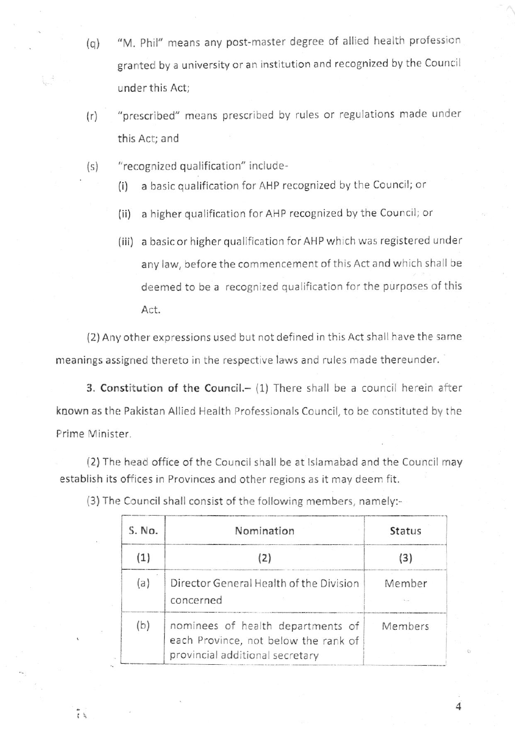- (q) "M. Phil" means any post-master degree of allied health profession granted by a university or an institution and recognized by the Council under this Act;
- (r) "prescribed" means prescribed by rules or regulations made under this Act; and
- (s) "recognized qualification" include-
	- (i) a basic qualification for AHP recognized by the Council; or
	- (ii) a higher qualification for AHP recognized by the Council; or
	- (iii) a basic or higher qualification for AHP which was registered under any law, before the commencement of this Act and which shall be deemed to be a recognized qualification for the purposes of this Act.

(2) Any other expressions used but not defined in this Act shall have the sarne meanings assigned thereto in the respective laws and rules made thereunder.

3. Constitution of the Council. $-$  (1) There shall be a council herein after known as the Pakistan Allied Health Professionals Council, to be constituted by the Prime Minister.

(2) The head office of the Council shall be at lslamabad and the Council may establish its offices in Provinces and other regions as it may deem fit.

| S. No. | Nomination                                                                                                   | <b>Status</b> |
|--------|--------------------------------------------------------------------------------------------------------------|---------------|
|        | (2)                                                                                                          | 13            |
| (a)    | Director General Health of the Division<br>concerned                                                         | Member        |
| (b)    | nominees of health departments of<br>each Province, not below the rank of<br>provincial additional secretary | Members       |

 $\overline{4}$ 

(3) The Council shall consist of the following members, namely:-